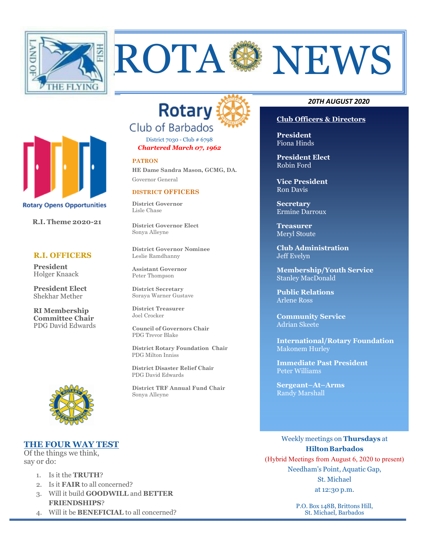



District 7030 - Club # 6798

*Chartered March 07, 1962* 

#### **PATRON**

**HE Dame Sandra Mason, GCMG, DA.** Governor General

### **DISTRICT OFFICERS**

**District Governor** Lisle Chase

**District Governor Elect**  Sonya Alleyne

**District Governor Nominee**  Leslie Ramdhanny

**Assistant Governor**  Peter Thompson

**District Secretary**  Soraya Warner Gustave

**District Treasurer**  Joel Crocker

**Council of Governors Chair**  PDG Trevor Blake

**District Rotary Foundation Chair** PDG Milton Inniss

 **District Disaster Relief Chair** PDG David Edwards

**District TRF Annual Fund Chair**  Sonya Alleyne

### *20TH AUGUST 2020*

### **Club Officers & Directors**

**President** Fiona Hinds

**President Elect**  Robin Ford

**Vice President**  Ron Davis

**Secretary**  Ermine Darroux

**Treasurer**  Meryl Stoute

**Club Administration**  Jeff Evelyn

**Membership/Youth Service**  Stanley MacDonald

**Public Relations**  Arlene Ross

**Community Service**  Adrian Skeete

**International/Rotary Foundation**  Makonem Hurley

**Immediate Past President**  Peter Williams

**Sergeant–At–Arms**  Randy Marshall

# **THE FOUR WAY TEST**

Of the things we think, say or do:

- 1. Is it the **TRUTH**?
- 2. Is it **FAIR** to all concerned?
- 3. Will it build **GOODWILL** and **BETTER FRIENDSHIPS**?
- 4. Will it be **BENEFICIAL** to all concerned?

Weekly meetings on **Thursdays** at **Hilton Barbados** 

(Hybrid Meetings from August 6, 2020 to present) Needham's Point, Aquatic Gap, St. Michael at 12:30 p.m.

> P.O. Box 148B, Brittons Hill, St. Michael, Barbados



# **President Elect**  Shekhar Mether

 **R.I. Theme 2020-21** 

**Rotary Opens Opportunities** 

 **R.I. OFFICERS** 

**President** Holger Knaack

**RI Membership Committee Chair**  PDG David Edwards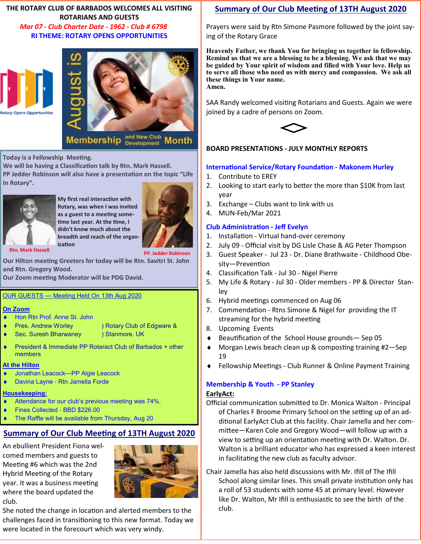## **THE ROTARY CLUB OF BARBADOS WELCOMES ALL VISITING ROTARIANS AND GUESTS**   *Mar 07 - Club Charter Date - 1962 - Club # 6798*  **RI THEME: ROTARY OPENS OPPORTUNITIES**





Membership and New Club Month

**Today is a Fellowship Meeting.** 

We will be having a Classification talk by Rtn. Mark Hassell. PP Jedder Robinson will also have a presentation on the topic "Life **In Rotary".** 



**My first real interaction with Rotary, was when I was invited**  as a guest to a meeting sometime last year. At the time, I **didn't know much about the breadth and reach of the organization** 

 **Rtn. Mark Hassell PP. Jedder Robinson**

**Our Hilton meeting Greeters for today will be Rtn. Savitri St. John and Rtn. Gregory Wood.** 

**Our Zoom meeting Moderator will be PDG David.** 

### OUR GUESTS — Meeting Held On 13th Aug 2020

### **On Zoom**

- Hon Rtn Prof. Anne St. John
- Pres. Andrew Worley (b) Rotary Club of Edgware &
	- Sec. Suresh Bharwaney (3) Stanmore. UK
- ♦ President & Immediate PP Rotaract Club of Barbados + other members

# **At the Hilton**

- Jonathan Leacock—PP Algie Leacock
- Davina Layne Rtn Jamella Forde

# **Housekeeping:**

- Attendance for our club's previous meeting was 74%.
- Fines Collected BBD \$226.00
- The Raffle will be available from Thursday, Aug 20

# **<u>Summary of Our Club Meeting of 13TH August 2020</u>**

An ebullient President Fiona welcomed members and guests to Meeting #6 which was the 2nd Hybrid Meeting of the Rotary year. It was a business meeting where the board updated the club.



She noted the change in location and alerted members to the challenges faced in transitioning to this new format. Today we were located in the forecourt which was very windy.

# **Summary of Our Club Meeting of 13TH August 2020**

Prayers were said by Rtn Simone Pasmore followed by the joint saying of the Rotary Grace

**Heavenly Father, we thank You for bringing us together in fellowship. Remind us that we are a blessing to be a blessing. We ask that we may be guided by Your spirit of wisdom and filled with Your love. Help us to serve all those who need us with mercy and compassion. We ask all these things in Your name. Amen.** 

SAA Randy welcomed visiting Rotarians and Guests. Again we were joined by a cadre of persons on Zoom.



# **BOARD PRESENTATIONS - JULY MONTHLY REPORTS**

# **International Service/Rotary Foundation - Makonem Hurley**

- 1. Contribute to EREY
- 2. Looking to start early to better the more than \$10K from last year
- 3. Exchange Clubs want to link with us
- 4. MUN-Feb/Mar 2021

# **Club Administration - Jeff Evelyn**

- 1. Installation Virtual hand-over ceremony
- 2. July 09 Official visit by DG Lisle Chase & AG Peter Thompson
- 3. Guest Speaker Jul 23 Dr. Diane Brathwaite Childhood Obesity-Prevention
- 4. Classification Talk Jul 30 Nigel Pierre
- 5. My Life & Rotary Jul 30 Older members PP & Director Stanley
- 6. Hybrid meetings commenced on Aug 06
- 7. Commendation Rtns Simone & Nigel for providing the IT streaming for the hybrid meeting
- 8. Upcoming Events
- $\triangle$  Beautification of the School House grounds Sep 05
- $\blacklozenge$  Morgan Lewis beach clean up & composting training #2-Sep 19
- Fellowship Meetings Club Runner & Online Payment Training

# **Membership & Youth - PP Stanley**

# **EarlyAct:**

Official communication submitted to Dr. Monica Walton - Principal of Charles F Broome Primary School on the setting up of an additional EarlyAct Club at this facility. Chair Jamella and her committee-Karen Cole and Gregory Wood-will follow up with a view to setting up an orientation meeting with Dr. Walton. Dr. Walton is a brilliant educator who has expressed a keen interest in facilitating the new club as faculty advisor.

Chair Jamella has also held discussions with Mr. Ifill of The Ifill School along similar lines. This small private institution only has a roll of 53 students with some 45 at primary level. However like Dr. Walton, Mr Ifill is enthusiastic to see the birth of the club.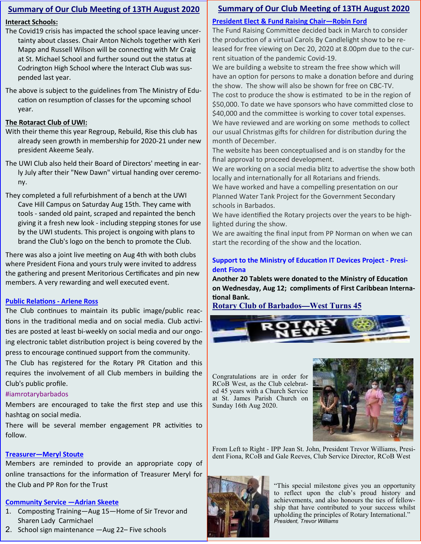# **Summary of Our Club Meeting of 13TH August 2020**

# **Interact Schools:**

- The Covid19 crisis has impacted the school space leaving uncertainty about classes. Chair Anton Nichols together with Keri Mapp and Russell Wilson will be connecting with Mr Craig at St. Michael School and further sound out the status at Codrington High School where the Interact Club was suspended last year.
- The above is subject to the guidelines from The Ministry of Education on resumption of classes for the upcoming school year.

### **The Rotaract Club of UWI:**

- With their theme this year Regroup, Rebuild, Rise this club has already seen growth in membership for 2020-21 under new president Akeeme Sealy.
- The UWI Club also held their Board of Directors' meeting in early July after their "New Dawn" virtual handing over ceremony.
- They completed a full refurbishment of a bench at the UWI Cave Hill Campus on Saturday Aug 15th. They came with tools - sanded old paint, scraped and repainted the bench giving it a fresh new look - including stepping stones for use by the UWI students. This project is ongoing with plans to brand the Club's logo on the bench to promote the Club.

There was also a joint live meeting on Aug 4th with both clubs where President Fiona and yours truly were invited to address the gathering and present Meritorious Cerficates and pin new members. A very rewarding and well executed event.

# **Public Relations - Arlene Ross**

The Club continues to maintain its public image/public reactions in the traditional media and on social media. Club activities are posted at least bi-weekly on social media and our ongoing electronic tablet distribution project is being covered by the press to encourage continued support from the community.

The Club has registered for the Rotary PR Citation and this requires the involvement of all Club members in building the Club's public profile.

# #iamrotarybarbados

Members are encouraged to take the first step and use this hashtag on social media.

There will be several member engagement PR activities to follow.

# **Treasurer—Meryl Stoute**

Members are reminded to provide an appropriate copy of online transactions for the information of Treasurer Meryl for the Club and PP Ron for the Trust

# **Community Service —Adrian Skeete**

- 1. Composting Training—Aug 15—Home of Sir Trevor and Sharen Lady Carmichael
- 2. School sign maintenance —Aug 22– Five schools

# **Summary of Our Club Meeting of 13TH August 2020**

# **President Elect & Fund Raising Chair—Robin Ford**

The Fund Raising Committee decided back in March to consider the production of a virtual Carols By Candlelight show to be released for free viewing on Dec 20, 2020 at 8.00pm due to the current situation of the pandemic Covid-19.

We are building a website to stream the free show which will have an option for persons to make a donation before and during the show. The show will also be shown for free on CBC-TV. The cost to produce the show is estimated to be in the region of \$50,000. To date we have sponsors who have committed close to \$40,000 and the committee is working to cover total expenses. We have reviewed and are working on some methods to collect our usual Christmas gifts for children for distribution during the month of December.

The website has been conceptualised and is on standby for the final approval to proceed development.

We are working on a social media blitz to advertise the show both locally and internationally for all Rotarians and friends.

We have worked and have a compelling presentation on our Planned Water Tank Project for the Government Secondary schools in Barbados.

We have identified the Rotary projects over the years to be highlighted during the show.

We are awaiting the final input from PP Norman on when we can start the recording of the show and the location.

# **Support to the Ministry of Education IT Devices Project - President Fiona**

Another 20 Tablets were donated to the Ministry of Education **on Wednesday, Aug 12; compliments of First Caribbean Interna tional Bank.** 

**Rotary Club of Barbados—West Turns 45**

Congratulations are in order for RCoB West, as the Club celebrated 45 years with a Church Service at St. James Parish Church on Sunday 16th Aug 2020.



From Left to Right - IPP Jean St. John, President Trevor Williams, President Fiona, RCoB and Gale Reeves, Club Service Director, RCoB West



"This special milestone gives you an opportunity to reflect upon the club's proud history and achievements, and also honours the ties of fellowship that have contributed to your success whilst upholding the principles of Rotary International." *President, Trevor Williams*